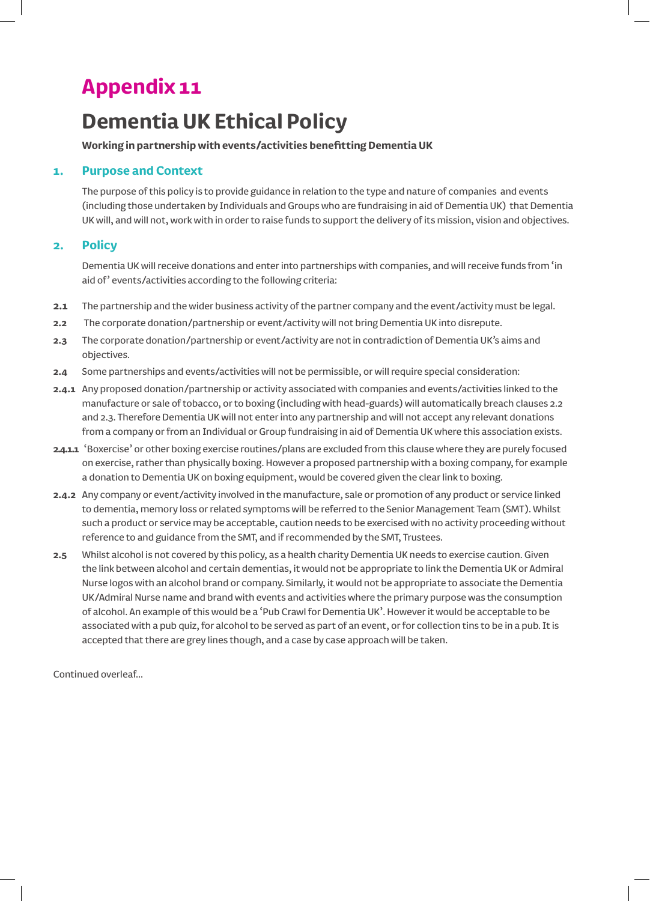## **Appendix 11**

# **Dementia UK Ethical Policy**

### **Working in partnership with events/activities benefitting Dementia UK**

## **1. Purpose and Context**

The purpose of this policy is to provide guidance in relation to the type and nature of companies and events (including those undertaken by Individuals and Groups who are fundraising in aid of Dementia UK) that Dementia UK will, and will not, work with in order to raise funds to support the delivery of its mission, vision and objectives.

## **2. Policy**

Dementia UK will receive donations and enter into partnerships with companies, and will receive funds from 'in aid of' events/activities according to the following criteria:

- **2.1** The partnership and the wider business activity of the partner company and the event/activity must be legal.
- **2.2** The corporate donation/partnership or event/activity will not bring Dementia UK into disrepute.
- **2.3** The corporate donation/partnership or event/activity are not in contradiction of Dementia UK's aims and objectives.
- **2.4** Some partnerships and events/activities will not be permissible, or will require special consideration:
- **2.4.1** Any proposed donation/partnership or activity associated with companies and events/activities linked to the manufacture or sale of tobacco, or to boxing (including with head-guards) will automatically breach clauses 2.2 and 2.3. Therefore Dementia UK will not enter into any partnership and will not accept any relevant donations from a company or from an Individual or Group fundraising in aid of Dementia UK where this association exists.
- **2.4.1.1** 'Boxercise' or other boxing exercise routines/plans are excluded from this clause where they are purely focused on exercise, rather than physically boxing. However a proposed partnership with a boxing company, for example a donation to Dementia UK on boxing equipment, would be covered given the clear link to boxing.
- **2.4.2** Any company or event/activity involved in the manufacture, sale or promotion of any product or service linked to dementia, memory loss or related symptoms will be referred to the Senior Management Team (SMT). Whilst such a product or service may be acceptable, caution needs to be exercised with no activity proceeding without reference to and guidance from the SMT, and if recommended by the SMT, Trustees.
- **2.5** Whilst alcohol is not covered by this policy, as a health charity Dementia UK needs to exercise caution. Given the link between alcohol and certain dementias, it would not be appropriate to link the Dementia UK or Admiral Nurse logos with an alcohol brand or company. Similarly, it would not be appropriate to associate the Dementia UK/Admiral Nurse name and brand with events and activities where the primary purpose was the consumption of alcohol. An example of this would be a 'Pub Crawl for Dementia UK'. However it would be acceptable to be associated with a pub quiz, for alcohol to be served as part of an event, or for collection tins to be in a pub. It is accepted that there are grey lines though, and a case by case approach will be taken.

Continued overleaf...